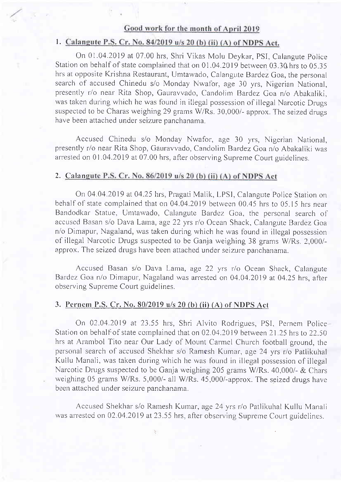### Good work for the month of April 2019

### 1. Calangute P.S. Cr. No. 84/2019 u/s 20 (b) (ii) (A) of NDPS Act.

On 01.04.2019 at 07.00 hrs, Shri Vikas Molu Deykar, PSI, Calangute Police Station on behalf of state complained that on 0l .04.2019 between 03.30hrs to 05.35 hrs at opposite Krishna Restaurant, Umtawado, Calangute Bardez Goa, the personal search of accused Chinedu s/o Monday Nwafor, age 30 yrs, Nigerian National, presently r/o near Rita Shop, Gauravvado, Candolim Bardez Goa n/o Abakaliki, was taken during which he was found in illegal possession of illegal Narcotic Drugs suspected to be Charas weighing 29 grams W/Rs. 30,000/- approx. The seized drugs have been attached under seizure panchanama.

Accused Chinedu s/o Monday Nwafor, age 30 yrs, Nigerian National, presently r/o near Rita Shop, Gauravvado, Candolim Bardez Goa n/o Abakaliki was arrested on 01.04.2019 at 07.00 hrs, after observing Supreme Court guidelines.

#### 2. <u>Calan</u>

On 04.04.2019 at 04.25 hrs, Pragati Malik, LPSI, Calangute Police Station on behalf of state complained that on 04.04.2019 between 00.45 hrs to 05.15 hrs near Bandodkar Statue, Umtawado, Calangute Bardez Goa, the personal search of accused Basan s/o Dava Lama, age 22 yrs r/o Ocean Shack, Calangute Bardez Goa n/o Dirnapur, Nagaland, was taken during which he was found in illegal possession of illegal Narcotic Drugs suspected to be Ganja weighing 38 grams W/Rs. 2,000/approx. The seized drugs have been attached under seizure panchanama.

Accused Basan s/o Dava Larra, age 22 yrs r/o Ocean Shack, Calangute Bardez Goa n/o Dimapur, Nagaland was arrested on 04.04.2019 at 04.25 hrs, after observing Supreme Court guidelines.

### 3. Pcrncm P.S. Cr. No. 80/2019 u/s 20 (b) (ii) (A) of NDPS Act

On 02.04.2019 at 23.55 hrs, Shri Alvito Rodrigues, PSI, Pernem Police Station on behalf of state complained that on 02.04.2019 between 21.25 hrs to 22.50 hrs at Arambol Tito near Our Lady of Mount Carmel Church football ground, the personal search of accused Shekhar s/o Ramesh Kumar, age 24 yrs r/o Patlikuhal Kullu Manali, was taken during which he was found in illegal possession of illegal Narcotic Drugs suspected to be Ganja weighing 205 grams W/Rs. 40,000/- & Chars weighing 05 grams W/Rs. 5,000/- all W/Rs. 45,000/-approx. The seized drugs have been attached under seizure panchanama.

Accused Shekhar s/o Ramesh Kumar, age 24 yrs r/o Patlikuhal Kullu Manali was arrested on 02.04.2019 at 23.55 hrs, after observing Supreme Court guidelines.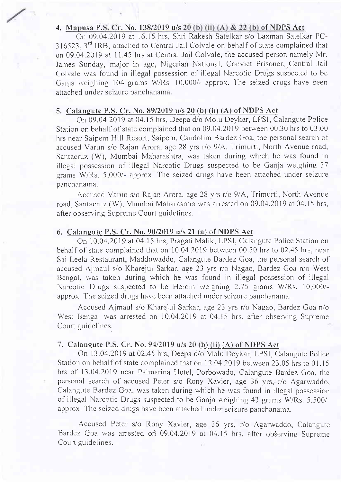### 4. Mapusa P.S. Cr. No. 138/2019 u/s 20 (b) (ii) (A) & 22 (b) of NDPS Act

On 09.04.2019 at 16.15 hrs, Shri Rakesh Satelkar s/o Laxman Satelkar PC- $316523$ ,  $3^{\text{rd}}$  IRB, attached to Central Jail Colvale on behalf of state complained that on 09.04.2019 at I 1.45 hrs at Central Jail Colvale, the accused person namely Mr. James Sunday, major in age, Nigerian National, Convict Prisoner, Central Jai Colvale was found in illegal possession of illegal Narcotic Drugs suspected to be Ganja weighing 104 grams W/Rs. 10,000/- approx. The seized drugs have been attached under seizure panchanama.

### 5. Calaneute P.S. Cr. No. 89/2019 u/s 20 (b) (ii) (A) of NDPS Act

On 09.04.2019 at 04.15 hrs, Deepa d/o Molu Deykar, LPSI, Calangute Police Station on behalf of state complained that on 09.04.2019 between 00.30 hrs to 03.00 hrs near Saipem Hill Resort, Saipem, Candolim Bardez Goa, the personal search of accused Varun s/o Rajan Arora. age 28 yrs r/o 9/A, Trimurti, North Avenue road, Santacruz (W), Mumbai Maharashtra, was taken during which he was found in illegal possession of illegal Narcotic Drugs suspected to be Ganja weighing 37 grams W/Rs. 5,000/- approx. The seized drugs have been attached under seizure panchanama.

Accused Varun s/o Rajan Arora, age 28 yrs r/o 9/A, Trimurti, North Avenue road, Santacruz (W), Mumbai Maharashtra was arrested on 09.04.2019 at 04.15 hrs, after observing Supreme Court guidelines.

### 6. Calaneute P.S. Cr. No. 90/2019 u/s 21 (a) of NDPS Act

On 10.04.2019 at 04.15 hrs, Pragati Malik, LPSI, Calangute Police Station on behalf of state complained that on 10.04.2019 between 00.50 hrs to 02.45 hrs, near Sai Leela Restaurant, Maddowaddo, Calangute Bardez Goa, the personal search of accused Ajmaul s/o Kharejul Sarkar, age 23 yrs r/o Nagao, Bardez Goa n/o West Bengal, was taken during which he was found in illegal possession of illegal Narcotic Drugs suspected to be Heroin weighing 2.75 grams W/Rs. 10,000/approx. The seized drugs have been attached under seizure panchanama.

Accused Ajmaul s/o Kharejul Sarkar, age 23 yrs r/o Nagao, Bardez Goa n/o West Bengal was arrested on 10.04.2019 at 04.15 hrs, after observing Supreme Court guidelines.

### 7. Calangute P.S. Cr. No. 9412019 u/s 20 (b) (ii) (A) of NDPS Act

On 13.04.2019 at 02.45 hrs, Deepa d/o Molu Deykar, LPSI, Calangute Police Station on behalf of state complained that on 12.04.2019 between 23.05 hrs to 01.15 hrs of 13.04.2019 near Palmarina Hotel, Porbowado, Calangute Bardez Goa, the personal search of accused Peter s/o Rony Xavier, age 36 yrs, r/o Agarwaddo, Calangute Bardez Goa, was taken during which he was found in illegal possession of illegal Narcotic Drugs suspected to be Ganja weighing 43 grams W/Rs. 5,500/ approx. The seized drugs have been attached under seizure panchanama.

Accused Peter s/o Rony Xavier, age 36 yrs, r/o Agarwaddo, Calangute Bardez Goa was arrested on 09.04.2019 at 04.15 hrs, after observing Supreme Court guidelines.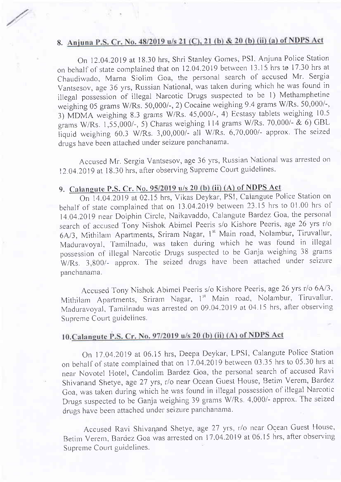# 8. Anjuna P.S. Cr. No. 48/2019 u/s 21 (C), 21 (b) & 20 (b) (ii) (a) of NDPS Act

On 12.04.2019 at 18.30 hrs, Shri Stanley Gomes, PSI, Anjuna Police Station on behalf of state complained that on 12.04.2019 between 13.15 hrs to 17.30 hrs at Chaudiwado, Marna Siolim Goa, the personal search of accused Mr. Sergia Vantsesov, age 36 yrs, Russian National, was taken during which he was found in illegal possession of illegal Narcotic Drugs suspected to be l) Methamphetine weighing 05 grams W/Rs. 50,000/-, 2) Cocaine weighing 9.4 grams W/Rs. 50,000/-, 3) MDMA weighing 8.3 grams W/Rs. 45,000/-, 4) Ecstasy tablets weighing 10.5 grams W/Rs. 1,55,000/-, 5) Charas weighing 114 grams W/Rs. 70,000/- & 6) GBL tiquid weighing 60.3 W/Rs. 3,00,000/- all W/Rs. 6,70,000/- approx The seized drugs have been attached under seizure panchanama.

Accused Mr. Sergia Vantsesov, age 36 yrs, Russian National was arrested on 12.04.2019 at 18.30 hrs, after observing Supreme Court guidelines.

# 9. Calangute P.S. Cr. No.  $95/2019$  u/s 20 (b) (ii) (A) of NDPS Act.

On 14.04.2019 at 02.15 hrs, Vikas Deykar, PSI, Calangute Police Station on behalf of state complained that on  $13.04.2019$  between  $23.15$  hrs to 01.00 hrs of 14.04.2019 near Dolphin Circle, Naikavaddo, Calangute Bardez Goa, the personal search of accused Tony Nishok Abimel Peeris s/o Kishore Peeris, age 26 yrs r/o 6A/3, Mithilam Apartments, Sriram Nagar, 1<sup>st</sup> Main road, Nolambur, Tiruvallur, Maduravoyal, Tamilnadu, was taken during which he was found in illegal possession of illegal Narcotic Drugs suspected to be Ganja weighing 38 grams W/Rs. 3,800/- approx. The seized drugs have been attached under seizure panchanama.

Accused Tony Nishok Abimel Peeris s/o Kishore Peeris, age 26 yrs r/o 6A/3, Mithilam Apartments, Sriram Nagar, 1<sup>st</sup> Main road, Nolambur, Tiruvallur, Maduravoyal, Tamilnadu was arrested on 09.04.2019 at 04.15 hrs, after observing Supreme Court guidelines.

# 10. Calangute P.S. Cr. No. 97/2019 u/s 20 (b) (ii) (A) of NDPS Act

On 17.04.2019 at 06.15 hrs, Deepa Deykar, LPSI, Calangute Police Station on behalf of state complained that on  $17.04.2019$  between 03.35 hrs to 05.30 hrs at near Novotel Hotel, Candolim Bardez Goa, the personal search of accused Ravi Shivanand Shetye, age 27 yrs, r/o near Ocean Guest House, Betim Verem, Bardez Goa, was taken during which he was found in illegal possession of illegal Narcotic Drugs suspected to be Ganja weighing 39 grams W/Rs. 4,000/- approx. The seized drugs have been attached under seizure panchanama.

Accused Ravi Shivanand Shetye, age 27 yrs, r/o near Ocean Guest House, Betim Verem, Bardez Goa was arrested on 17.04.2019 at 06.15 hrs, after observing Supreme Court guidelines.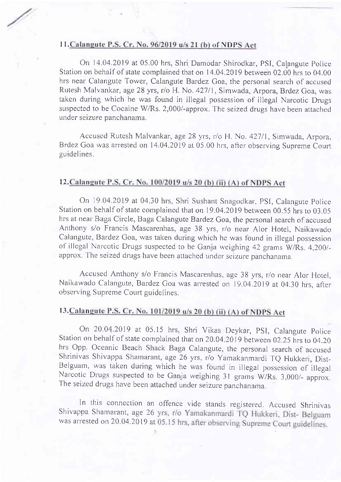# 11. Calangute P.S. Cr. No. 96/2019 u/s 21 (b) of NDP

On 14.04.2019 at 05.00 hrs, Shri Damodar Shirodkar, PSI, Calangute Police Station on behalf of state complained that on 14.04.2019 between 02.00 hrs to 04.00 hrs near Calangute Tower, Calangute Bardez Goa, the personal search of accused Rutesh Malvankar, age 28 yrs, r/o H. No. 427/1, Simwada, Arpora, Brdez Goa, was taken during which he was found in illegal possession of illegal Narcotic Drugs suspected to be Cocaine W/Rs. 2,000/-approx. The seized drugs have been attached under seizure panchanama.

Accused Rutesh Malvankar, age 28 yrs, r/o H. No. 427/1, Simwada, Arpora, Brdez Goa was arrested on 14.04.2019 at 05.00 hrs, after observing Supreme Court guidelines.

### 12. Calangute P.S. Cr. No. 100/2019 u/s 20 (b) (ii) (A) of NDPS Act

On 19.04.2019 at 04.30 hrs, Shri Sushant Snagodkar, PSI, Calangute Police Station on behalf of state complained that on 19.04.2019 between 00.55 hrs to 03.05 hrs at near Baga Circle, Baga Calangute Bardez Goa, the personal search of accused Anthony s/o Francis Mascarenhas, age 38 yrs, r/o near Alor Hotel, Naikawado Calangute, Bardez Goa, was taken during which he was found in illegal possession of illcgal Narcotic Drugs suspected to be Ganja weighing 42 grams W/Rs. 4,200/ approx. The seized drugs have been attached under seizure panchanama.

Accused Anthony s/o Francis Mascarenhas, age 38 yrs, r/o near Alor Hotel. Naikawado Calangute, Bardez Goa was arrested on 19.04.2019 at 04.30 hrs, after observing Supreme Court guidelines.

# 13. Calangute P.S. Cr. No. 101/2019 u/s 20 (b) (ii) (A) of NDPS Act

On 20.04.2019 at 05.15 hrs, Shri Vikas Deykar, PSI, Calangute Police Station on behalf of state complained that on 20.04.2019 between 02.25 hrs to 04.20 hrs Opp. Oceanic Beach Shack Baga Calangute, the personal search of accused Shrinivas Shivappa Shamarant, age 26 yrs, r/o Yamakanmardi TQ Hukkeri, Dist-Belguam, was taken during which he was found in illegal possession of illegal Narcotic Drugs suspected to be Ganja weighing 31 grams W/Rs. 3,000/- approx. The seized drugs have been attached under seizure panchanama.

In this connection an offence vide stands registered. Accused Shrinivas Shivappa Shamarant, age 26 yrs, r/o Yamakanmardi TQ Hukkeri, Dist- Belguam was arrested on 20.04.2019 at 05.15 hrs, after observing Supreme Court guidelines.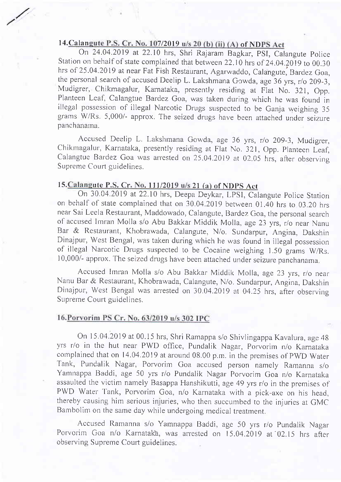## 14. Calangute P.S. Cr. No. 107/2019 u/s 20 (b) (ii) (A) of NDPS Act

/

On 24.04.2019 at 22.10 hrs, Shri Rajaram Bagkar, PSI, Calangute Police Station on behalf of state complained that between 22.10 hrs of 24.04.2019 to 00.30 hrs of 25.04.2019 at near Fat Fish Restaurant, Agarwaddo, Calangute, Bardez Goa, the personal search of accused Deelip L. Lakshmana Gowda, age 36 yrs, r/o 209-3, Mudigrer, Chikmagalur, Karnataka, presently residing at Flat No. 321, Opp. Planteen Leaf, calangtue Bardez Goa, was taken during which he was found in illegal possession of illegal Narcotic Drugs suspected to be Ganja weighing 35 grams W/Rs. 5,000/- approx. The seized drugs have been attached under seizure panchanama.

Accused Deelip L. Lakshmana Gowda, age 36 yrs, r/o 209-3, Mudigrer, Chikmagalur, Karnataka, presently residing at Flat No. 321, Opp. Planteen Leaf, Calangtue Bardez Goa was arrested on  $25.04.2019$  at 02.05 hrs, after observing Supreme Court guidelines.

### 15. Calangute P.S. Cr. No. 111/2019 u/s 21 (a) of NDPS Act

On 30.04.2019 at 22.10 hrs, Deepa Deykar, LPSI, Calangute Police Station on behalf of state complained that on 30.04.2019 between 01.40 hrs to 03.20 hrs near Sai Leela Restaurant, Maddowado, Calangute, Bardez Goa, the personal search of accused Imran Molla s/o Abu Bakkar Middik Molla, age 23 yrs, r/o near Nanu Bar & Restaurant, Khobrawada, Calangute, N/o. Sundarpur, Angina, Dakshin Dinajpur, west Bengal, was taken during which he was found in iilegal possession of illegal Narcotic Drugs suspected to be Cocaine weighing 1.50 grams W/Rs. 10,000/- approx. The seized drugs have been attached under seizure panchanama.

Accused Imran Molla s/o Abu Bakkar Middik Molla, age 23 yrs, r/o near Nanu Bar & Restaurant, Khobrawada, Calangute, N/o. Sundarpur, Angina, Dakshin Dinajpur, West Bengal was arrested on 30.04.2019 at 04.25 hrs, after observing Supreme Court guidelines.

#### 16. Porvorim PS Cr. No. 63/2019 u/s 302 IPC

On 15.04.2019 at 00.15 hrs, Shri Ramappa s/o Shivlingappa Kavalura, age 48 yrs r/o in the hut near PWD office, Pundalik Nagar, Porvorim n/o Karnataka complained that on 14.04.2019 at around 08.00 p.m. in the premises of PWD Water Tank, Pundalik Nagar, Porvorim Goa accused person namely Ramanna s/o Yamnappa Baddi, age 50 yrs r/o Pundalik Nagar Porvorim Goa n/o Karnataka assaulted the victim namely Basappa Hanshikutti, age 49 yrs r/o in the premises of PWD Water Tank, Porvorim Goa, n/o Karnataka with a pick-axe on his head, thereby causing him serious injuries, who then succumbed to the injuries at GMC Bambolim on the same day while undergoing medical treatment.

Accused Ramanna s/o Yamnappa Baddi, age 50 yrs r/o Pundalik Nagar Porvorim Goa n/o Karnatak'a, was arrested on 15.04.2019 at 02.15 hrs after observing Supreme Court guidelines.